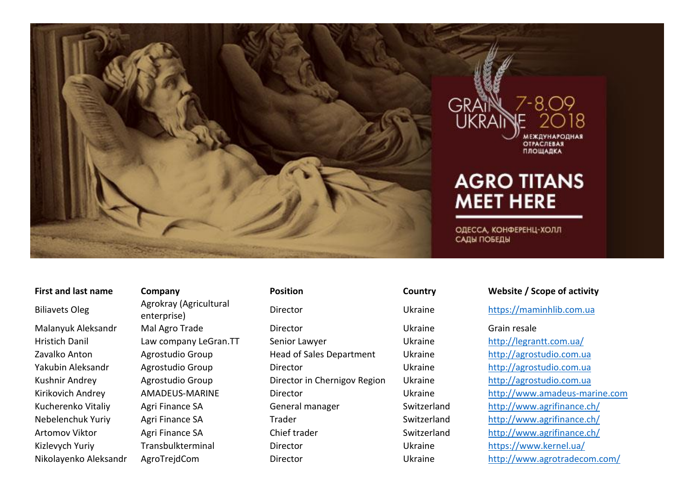

Biliavets Oleg Agrokray (Agricultural<br>
enterprise)

# **First and last name Company Position Country Website / Scope of activity** enterprise) Director Ukraine [https://maminhlib.com.ua](https://maminhlib.com.ua/) Malanyuk Aleksandr Mal Agro Trade Director Ukraine Grain resale Hristich Danil Law company LeGran.TT Senior Lawyer Ukraine Ukraine http://legrantt.com.ua/ Zavalko Anton Magrostudio Group Head of Sales Department Ukraine [http://agrostudio.com.ua](http://agrostudio.com.ua/) Yakubin Aleksandr Agrostudio Group Director Ukraine [http://agrostudio.com.ua](http://agrostudio.com.ua/) Kushnir Andrey **Agrostudio Group** Director in Chernigov Region Ukraine [http://agrostudio.com.ua](http://agrostudio.com.ua/) Kucherenko Vitaliy Agri Finance SA General manager Switzerland http://www.agrifinance.ch/ Nebelenchuk Yuriy Agri Finance SA Trader Summan Switzerland http://www.agrifinance.ch/ Artomov Viktor **Agri Finance SA** Chief trader Schwitzerland http://www.agrifinance.ch/ Kizlevych Yuriy Transbulkterminal Director Ukraine Https://www.kernel.ua/ Nikolayenko Aleksandr AgroTrejdCom Director Ukraine <http://www.agrotradecom.com/>

Kirikovich Andrey AMADEUS-MARINE Director Director Ukraine [http://www.amadeus-marine.com](http://www.amadeus-marine.com/)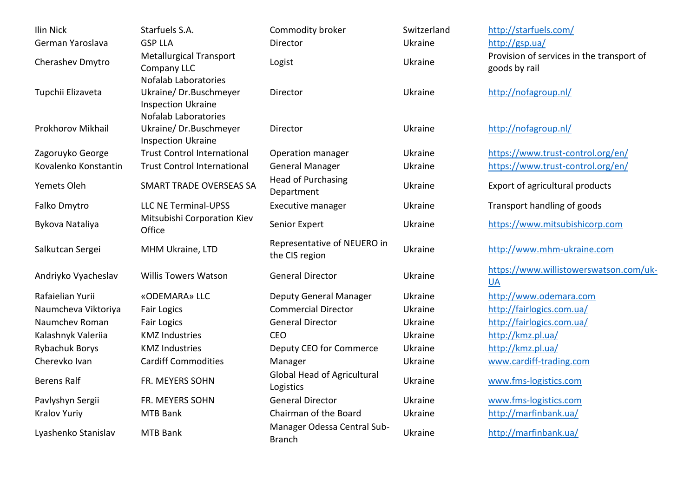| Ilin Nick             | Starfuels S.A.                                                                    | Commodity broker                                | Switzerland | http://starfuels.com/                                      |
|-----------------------|-----------------------------------------------------------------------------------|-------------------------------------------------|-------------|------------------------------------------------------------|
| German Yaroslava      | <b>GSP LLA</b>                                                                    | <b>Director</b>                                 | Ukraine     | http://gsp.ua/                                             |
| Cherashev Dmytro      | <b>Metallurgical Transport</b><br>Company LLC                                     | Logist                                          | Ukraine     | Provision of services in the transport of<br>goods by rail |
| Tupchii Elizaveta     | <b>Nofalab Laboratories</b><br>Ukraine/Dr.Buschmeyer<br><b>Inspection Ukraine</b> | Director                                        | Ukraine     | http://nofagroup.nl/                                       |
| Prokhorov Mikhail     | <b>Nofalab Laboratories</b><br>Ukraine/Dr.Buschmeyer<br><b>Inspection Ukraine</b> | Director                                        | Ukraine     | http://nofagroup.nl/                                       |
| Zagoruyko George      | <b>Trust Control International</b>                                                | Operation manager                               | Ukraine     | https://www.trust-control.org/en/                          |
| Kovalenko Konstantin  | <b>Trust Control International</b>                                                | <b>General Manager</b>                          | Ukraine     | https://www.trust-control.org/en/                          |
| Yemets Oleh           | SMART TRADE OVERSEAS SA                                                           | <b>Head of Purchasing</b><br>Department         | Ukraine     | Export of agricultural products                            |
| Falko Dmytro          | <b>LLC NE Terminal-UPSS</b>                                                       | <b>Executive manager</b>                        | Ukraine     | Transport handling of goods                                |
| Bykova Nataliya       | Mitsubishi Corporation Kiev<br>Office                                             | Senior Expert                                   | Ukraine     | https://www.mitsubishicorp.com                             |
| Salkutcan Sergei      | MHM Ukraine, LTD                                                                  | Representative of NEUERO in<br>the CIS region   | Ukraine     | http://www.mhm-ukraine.com                                 |
| Andriyko Vyacheslav   | <b>Willis Towers Watson</b>                                                       | <b>General Director</b>                         | Ukraine     | https://www.willistowerswatson.com/uk-<br>$U$ A            |
| Rafaielian Yurii      | «ODEMARA» LLC                                                                     | <b>Deputy General Manager</b>                   | Ukraine     | http://www.odemara.com                                     |
| Naumcheva Viktoriya   | <b>Fair Logics</b>                                                                | <b>Commercial Director</b>                      | Ukraine     | http://fairlogics.com.ua/                                  |
| Naumchev Roman        | <b>Fair Logics</b>                                                                | <b>General Director</b>                         | Ukraine     | http://fairlogics.com.ua/                                  |
| Kalashnyk Valeriia    | <b>KMZ Industries</b>                                                             | <b>CEO</b>                                      | Ukraine     | http://kmz.pl.ua/                                          |
| <b>Rybachuk Borys</b> | <b>KMZ Industries</b>                                                             | Deputy CEO for Commerce                         | Ukraine     | http://kmz.pl.ua/                                          |
| Cherevko Ivan         | <b>Cardiff Commodities</b>                                                        | Manager                                         | Ukraine     | www.cardiff-trading.com                                    |
| <b>Berens Ralf</b>    | FR. MEYERS SOHN                                                                   | <b>Global Head of Agricultural</b><br>Logistics | Ukraine     | www.fms-logistics.com                                      |
| Pavlyshyn Sergii      | FR. MEYERS SOHN                                                                   | <b>General Director</b>                         | Ukraine     | www.fms-logistics.com                                      |
| <b>Kralov Yuriy</b>   | <b>MTB Bank</b>                                                                   | Chairman of the Board                           | Ukraine     | http://marfinbank.ua/                                      |
| Lyashenko Stanislav   | MTB Bank                                                                          | Manager Odessa Central Sub-<br><b>Branch</b>    | Ukraine     | http://marfinbank.ua/                                      |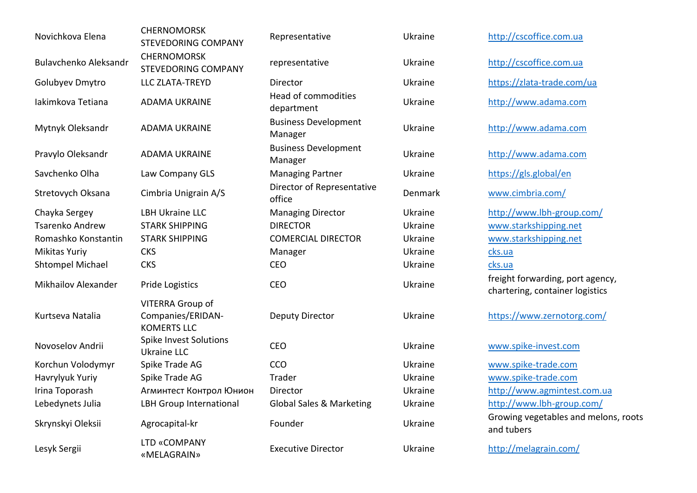| https://zlata-trade.com/ua                                          |
|---------------------------------------------------------------------|
|                                                                     |
|                                                                     |
|                                                                     |
|                                                                     |
|                                                                     |
| http://www.lbh-group.com/                                           |
|                                                                     |
|                                                                     |
|                                                                     |
|                                                                     |
| freight forwarding, port agency,<br>chartering, container logistics |
| https://www.zernotorg.com/                                          |
|                                                                     |
|                                                                     |
|                                                                     |
| http://www.agmintest.com.ua                                         |
| http://www.lbh-group.com/                                           |
| Growing vegetables and melons, roots                                |
|                                                                     |
|                                                                     |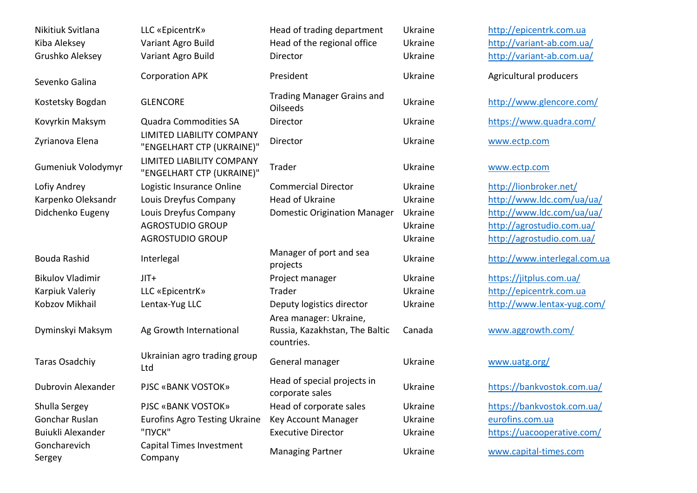| Nikitiuk Svitlana<br>Kiba Aleksey<br>Grushko Aleksey | LLC «EpicentrK»<br>Variant Agro Build<br>Variant Agro Build | Head of trading department<br>Head of the regional office<br>Director  | Ukraine<br>Ukraine<br>Ukraine | http://epicentrk.com.ua<br>http://variant-ab.com.ua/<br>http://variant-ab.com.ua/ |
|------------------------------------------------------|-------------------------------------------------------------|------------------------------------------------------------------------|-------------------------------|-----------------------------------------------------------------------------------|
| Sevenko Galina                                       | <b>Corporation APK</b>                                      | President                                                              | Ukraine                       | Agricultural producers                                                            |
| Kostetsky Bogdan                                     | <b>GLENCORE</b>                                             | <b>Trading Manager Grains and</b><br><b>Oilseeds</b>                   | Ukraine                       | http://www.glencore.com                                                           |
| Kovyrkin Maksym                                      | <b>Quadra Commodities SA</b>                                | Director                                                               | Ukraine                       | https://www.quadra.com/                                                           |
| Zyrianova Elena                                      | LIMITED LIABILITY COMPANY<br>"ENGELHART CTP (UKRAINE)"      | Director                                                               | Ukraine                       | www.ectp.com                                                                      |
| <b>Gumeniuk Volodymyr</b>                            | LIMITED LIABILITY COMPANY<br>"ENGELHART CTP (UKRAINE)"      | Trader                                                                 | Ukraine                       | www.ectp.com                                                                      |
| Lofiy Andrey                                         | Logistic Insurance Online                                   | <b>Commercial Director</b>                                             | Ukraine                       | http://lionbroker.net/                                                            |
| Karpenko Oleksandr                                   | Louis Dreyfus Company                                       | Head of Ukraine                                                        | Ukraine                       | http://www.ldc.com/ua/ua                                                          |
| Didchenko Eugeny                                     | Louis Dreyfus Company                                       | <b>Domestic Origination Manager</b>                                    | Ukraine                       | http://www.ldc.com/ua/ua                                                          |
|                                                      | <b>AGROSTUDIO GROUP</b>                                     |                                                                        | Ukraine                       | http://agrostudio.com.ua/                                                         |
|                                                      | <b>AGROSTUDIO GROUP</b>                                     |                                                                        | Ukraine                       | http://agrostudio.com.ua/                                                         |
| Bouda Rashid                                         | Interlegal                                                  | Manager of port and sea<br>projects                                    | Ukraine                       | http://www.interlegal.com                                                         |
| <b>Bikulov Vladimir</b>                              | $JIT+$                                                      | Project manager                                                        | Ukraine                       | https://jitplus.com.ua/                                                           |
| Karpiuk Valeriy                                      | LLC «EpicentrK»                                             | Trader                                                                 | Ukraine                       | http://epicentrk.com.ua                                                           |
| Kobzov Mikhail                                       | Lentax-Yug LLC                                              | Deputy logistics director                                              | Ukraine                       | http://www.lentax-yug.co                                                          |
| Dyminskyi Maksym                                     | Ag Growth International                                     | Area manager: Ukraine,<br>Russia, Kazakhstan, The Baltic<br>countries. | Canada                        | www.aggrowth.com/                                                                 |
| <b>Taras Osadchiy</b>                                | Ukrainian agro trading group<br>Ltd                         | General manager                                                        | Ukraine                       | www.uatg.org/                                                                     |
| Dubrovin Alexander                                   | PJSC «BANK VOSTOK»                                          | Head of special projects in<br>corporate sales                         | Ukraine                       | https://bankvostok.com.ua                                                         |
| Shulla Sergey                                        | PJSC «BANK VOSTOK»                                          | Head of corporate sales                                                | Ukraine                       | https://bankvostok.com.ua                                                         |
| Gonchar Ruslan                                       | <b>Eurofins Agro Testing Ukraine</b>                        | Key Account Manager                                                    | Ukraine                       | eurofins.com.ua                                                                   |
| Buiukli Alexander                                    | "ПУСК"                                                      | <b>Executive Director</b>                                              | Ukraine                       | https://uacooperative.com                                                         |
| Goncharevich<br>Sergey                               | Capital Times Investment<br>Company                         | <b>Managing Partner</b>                                                | Ukraine                       | www.capital-times.com                                                             |

//www.glencore.com/ s://www.quadra.com/ //lionbroker.net/ Karpenko Oleksandr Louis Dreyfus Computer Dide.com/ua/ua/ //agrostudio.com.ua/ //agrostudio.com.ua/ projects Ukraine [http://www.interlegal.com.ua](http://www.interlegal.com.ua/) s://jitplus.com.ua/ Marid Versicentrk.com.ua Kobzov Mikhail Lentax-Yug LLC Deputy logistics director Ukraine <http://www.lentax-yug.com/> .aggrowth.com/

s://bankvostok.com.ua/

s://bankvostok.com.ua/ s://uacooperative.com/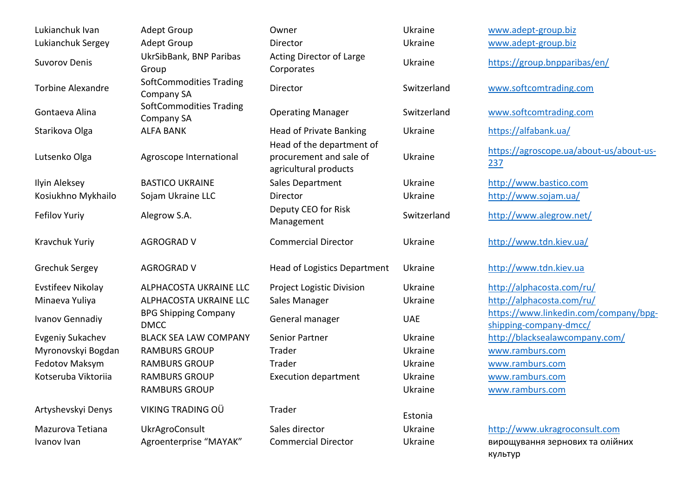| Lukianchuk Ivan          | <b>Adept Group</b>                                  | Owner                                                                         | Ukraine     | www.adept-group.biz                                             |
|--------------------------|-----------------------------------------------------|-------------------------------------------------------------------------------|-------------|-----------------------------------------------------------------|
| Lukianchuk Sergey        | <b>Adept Group</b>                                  | Director                                                                      | Ukraine     | www.adept-group.biz                                             |
| <b>Suvorov Denis</b>     | UkrSibBank, BNP Paribas<br>Group                    | <b>Acting Director of Large</b><br>Corporates                                 | Ukraine     | https://group.bnpparibas/en/                                    |
| <b>Torbine Alexandre</b> | <b>SoftCommodities Trading</b><br><b>Company SA</b> | Director                                                                      | Switzerland | www.softcomtrading.com                                          |
| Gontaeva Alina           | <b>SoftCommodities Trading</b><br>Company SA        | <b>Operating Manager</b>                                                      | Switzerland | www.softcomtrading.com                                          |
| Starikova Olga           | <b>ALFA BANK</b>                                    | <b>Head of Private Banking</b>                                                | Ukraine     | https://alfabank.ua/                                            |
| Lutsenko Olga            | Agroscope International                             | Head of the department of<br>procurement and sale of<br>agricultural products | Ukraine     | https://agroscope.ua/about-us/about-us-<br>237                  |
| Ilyin Aleksey            | <b>BASTICO UKRAINE</b>                              | Sales Department                                                              | Ukraine     | http://www.bastico.com                                          |
| Kosiukhno Mykhailo       | Sojam Ukraine LLC                                   | Director                                                                      | Ukraine     | http://www.sojam.ua/                                            |
| <b>Fefilov Yuriy</b>     | Alegrow S.A.                                        | Deputy CEO for Risk<br>Management                                             | Switzerland | http://www.alegrow.net/                                         |
| Kravchuk Yuriy           | <b>AGROGRAD V</b>                                   | <b>Commercial Director</b>                                                    | Ukraine     | http://www.tdn.kiev.ua/                                         |
| Grechuk Sergey           | <b>AGROGRAD V</b>                                   | <b>Head of Logistics Department</b>                                           | Ukraine     | http://www.tdn.kiev.ua                                          |
| <b>Evstifeev Nikolay</b> | ALPHACOSTA UKRAINE LLC                              | Project Logistic Division                                                     | Ukraine     | http://alphacosta.com/ru/                                       |
| Minaeva Yuliya           | ALPHACOSTA UKRAINE LLC                              | Sales Manager                                                                 | Ukraine     | http://alphacosta.com/ru/                                       |
| <b>Ivanov Gennadiy</b>   | <b>BPG Shipping Company</b><br><b>DMCC</b>          | General manager                                                               | <b>UAE</b>  | https://www.linkedin.com/company/bpg-<br>shipping-company-dmcc/ |
| <b>Evgeniy Sukachev</b>  | <b>BLACK SEA LAW COMPANY</b>                        | Senior Partner                                                                | Ukraine     | http://blacksealawcompany.com/                                  |
| Myronovskyi Bogdan       | <b>RAMBURS GROUP</b>                                | Trader                                                                        | Ukraine     | www.ramburs.com                                                 |
| Fedotov Maksym           | <b>RAMBURS GROUP</b>                                | Trader                                                                        | Ukraine     | www.ramburs.com                                                 |
| Kotseruba Viktoriia      | <b>RAMBURS GROUP</b>                                | <b>Execution department</b>                                                   | Ukraine     | www.ramburs.com                                                 |
|                          | <b>RAMBURS GROUP</b>                                |                                                                               | Ukraine     | www.ramburs.com                                                 |
| Artyshevskyi Denys       | VIKING TRADING OÜ                                   | Trader                                                                        | Estonia     |                                                                 |
| Mazurova Tetiana         | <b>UkrAgroConsult</b>                               | Sales director                                                                | Ukraine     | http://www.ukragroconsult.com                                   |
| Ivanov Ivan              | Agroenterprise "MAYAK"                              | <b>Commercial Director</b>                                                    | Ukraine     | вирощування зернових та олійних<br>культур                      |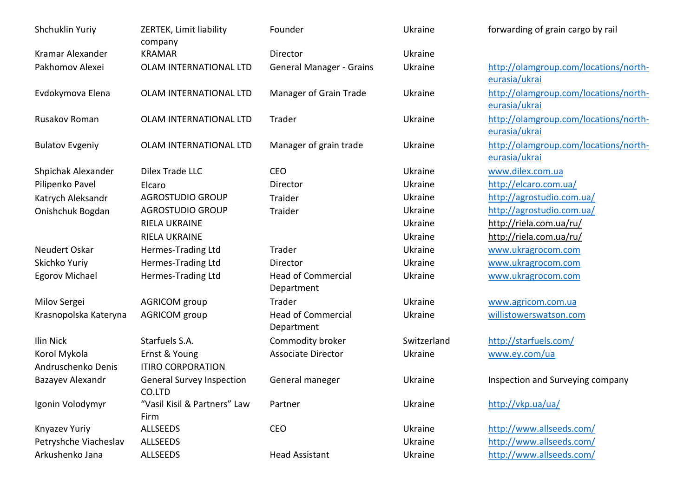| Shchuklin Yuriy        | ZERTEK, Limit liability<br>company         | Founder                                 | Ukraine     | forwarding of grain cargo by rail                      |
|------------------------|--------------------------------------------|-----------------------------------------|-------------|--------------------------------------------------------|
| Kramar Alexander       | <b>KRAMAR</b>                              | Director                                | Ukraine     |                                                        |
| Pakhomov Alexei        | OLAM INTERNATIONAL LTD                     | <b>General Manager - Grains</b>         | Ukraine     | http://olamgroup.com/locations/north-<br>eurasia/ukrai |
| Evdokymova Elena       | OLAM INTERNATIONAL LTD                     | Manager of Grain Trade                  | Ukraine     | http://olamgroup.com/locations/north-<br>eurasia/ukrai |
| Rusakov Roman          | OLAM INTERNATIONAL LTD                     | Trader                                  | Ukraine     | http://olamgroup.com/locations/north-<br>eurasia/ukrai |
| <b>Bulatov Evgeniy</b> | OLAM INTERNATIONAL LTD                     | Manager of grain trade                  | Ukraine     | http://olamgroup.com/locations/north-<br>eurasia/ukrai |
| Shpichak Alexander     | Dilex Trade LLC                            | <b>CEO</b>                              | Ukraine     | www.dilex.com.ua                                       |
| Pilipenko Pavel        | Elcaro                                     | Director                                | Ukraine     | http://elcaro.com.ua/                                  |
| Katrych Aleksandr      | <b>AGROSTUDIO GROUP</b>                    | Traider                                 | Ukraine     | http://agrostudio.com.ua/                              |
| Onishchuk Bogdan       | <b>AGROSTUDIO GROUP</b>                    | Traider                                 | Ukraine     | http://agrostudio.com.ua/                              |
|                        | RIELA UKRAINE                              |                                         | Ukraine     | http://riela.com.ua/ru/                                |
|                        | <b>RIELA UKRAINE</b>                       |                                         | Ukraine     | http://riela.com.ua/ru/                                |
| Neudert Oskar          | Hermes-Trading Ltd                         | Trader                                  | Ukraine     | www.ukragrocom.com                                     |
| Skichko Yuriy          | Hermes-Trading Ltd                         | Director                                | Ukraine     | www.ukragrocom.com                                     |
| <b>Egorov Michael</b>  | Hermes-Trading Ltd                         | <b>Head of Commercial</b><br>Department | Ukraine     | www.ukragrocom.com                                     |
| Milov Sergei           | <b>AGRICOM</b> group                       | Trader                                  | Ukraine     | www.agricom.com.ua                                     |
| Krasnopolska Kateryna  | <b>AGRICOM</b> group                       | <b>Head of Commercial</b><br>Department | Ukraine     | willistowerswatson.com                                 |
| Ilin Nick              | Starfuels S.A.                             | Commodity broker                        | Switzerland | http://starfuels.com/                                  |
| Korol Mykola           | Ernst & Young                              | <b>Associate Director</b>               | Ukraine     | www.ey.com/ua                                          |
| Andruschenko Denis     | <b>ITIRO CORPORATION</b>                   |                                         |             |                                                        |
| Bazayev Alexandr       | <b>General Survey Inspection</b><br>CO.LTD | General maneger                         | Ukraine     | Inspection and Surveying company                       |
| Igonin Volodymyr       | "Vasil Kisil & Partners" Law<br>Firm       | Partner                                 | Ukraine     | http://vkp.ua/ua/                                      |
| Knyazev Yuriy          | ALLSEEDS                                   | CEO                                     | Ukraine     | http://www.allseeds.com/                               |
| Petryshche Viacheslav  | <b>ALLSEEDS</b>                            |                                         | Ukraine     | http://www.allseeds.com/                               |
| Arkushenko Jana        | ALLSEEDS                                   | <b>Head Assistant</b>                   | Ukraine     | http://www.allseeds.com/                               |
|                        |                                            |                                         |             |                                                        |

| Ukraine     | forwarding of grain cargo by rail    |
|-------------|--------------------------------------|
| Ukraine     |                                      |
| Ukraine     | http://olamgroup.com/locations/north |
|             | eurasia/ukrai                        |
| Ukraine     | http://olamgroup.com/locations/north |
|             | eurasia/ukrai                        |
| Ukraine     | http://olamgroup.com/locations/north |
|             | eurasia/ukrai                        |
| Ukraine     | http://olamgroup.com/locations/north |
|             | eurasia/ukrai                        |
| Ukraine     | www.dilex.com.ua                     |
| Ukraine     | http://elcaro.com.ua/                |
| Ukraine     | http://agrostudio.com.ua/            |
| Ukraine     | http://agrostudio.com.ua/            |
| Ukraine     | http://riela.com.ua/ru/              |
| Ukraine     | http://riela.com.ua/ru/              |
| Ukraine     | www.ukragrocom.com                   |
| Ukraine     | www.ukragrocom.com                   |
| Ukraine     | www.ukragrocom.com                   |
| Ukraine     | www.agricom.com.ua                   |
| Ukraine     | willistowerswatson.com               |
| Switzerland | http://starfuels.com/                |
| Ukraine     | www.ey.com/ua                        |
| Ukraine     | Inspection and Surveying company     |
| Ukraine     | http://vkp.ua/ua/                    |
| Ukraine     | http://www.allseeds.com/             |
| Ukraine     | http://www.allseeds.com/             |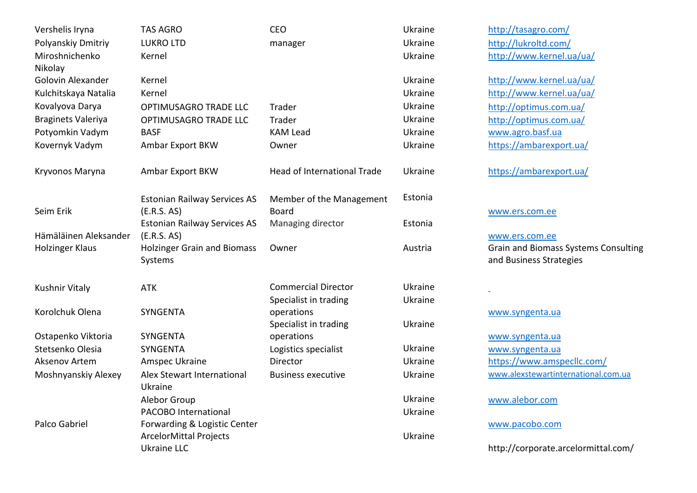| Vershelis Iryna           | <b>TAS AGRO</b>                               | <b>CEO</b>                  | Ukraine        |
|---------------------------|-----------------------------------------------|-----------------------------|----------------|
| Polyanskiy Dmitriy        | <b>LUKRO LTD</b>                              | manager                     | <b>Ukraine</b> |
| Miroshnichenko            | Kernel                                        |                             | Ukraine        |
| Nikolay                   |                                               |                             |                |
| Golovin Alexander         | Kernel                                        |                             | Ukraine        |
| Kulchitskaya Natalia      | Kernel                                        |                             | Ukraine        |
| Kovalyova Darya           | OPTIMUSAGRO TRADE LLC                         | Trader                      | Ukraine        |
| <b>Braginets Valeriya</b> | OPTIMUSAGRO TRADE LLC                         | Trader                      | Ukraine        |
| Potyomkin Vadym           | <b>BASF</b>                                   | <b>KAM Lead</b>             | Ukraine        |
| Kovernyk Vadym            | Ambar Export BKW                              | Owner                       | <b>Ukraine</b> |
| Kryvonos Maryna           | Ambar Export BKW                              | Head of International Trade | Ukraine        |
|                           | <b>Estonian Railway Services AS</b>           | Member of the Management    | Estonia        |
| Seim Erik                 | (E.R.S. AS)                                   | <b>Board</b>                |                |
|                           | <b>Estonian Railway Services AS</b>           | Managing director           | Estonia        |
| Hämäläinen Aleksander     | (E.R.S. AS)                                   |                             |                |
| <b>Holzinger Klaus</b>    | <b>Holzinger Grain and Biomass</b><br>Systems | Owner                       | Austria        |
|                           |                                               |                             |                |
| Kushnir Vitaly            | <b>ATK</b>                                    | <b>Commercial Director</b>  | <b>Ukraine</b> |
|                           |                                               | Specialist in trading       | Ukraine        |
| Korolchuk Olena           | SYNGENTA                                      | operations                  |                |
|                           |                                               | Specialist in trading       | Ukraine        |
| Ostapenko Viktoria        | SYNGENTA                                      | operations                  |                |
| Stetsenko Olesia          | <b>SYNGENTA</b>                               | Logistics specialist        | Ukraine        |
| Aksenov Artem             | Amspec Ukraine                                | Director                    | Ukraine        |
| Moshnyanskiy Alexey       | Alex Stewart International                    | <b>Business executive</b>   | Ukraine        |
|                           | Ukraine                                       |                             |                |
|                           | Alebor Group                                  |                             | Ukraine        |
|                           | PACOBO International                          |                             | Ukraine        |
| Palco Gabriel             | Forwarding & Logistic Center                  |                             |                |
|                           | <b>ArcelorMittal Projects</b>                 |                             | Ukraine        |
|                           | <b>Ukraine LLC</b>                            |                             |                |

<http://tasagro.com/> <http://lukroltd.com/> http://www.kernel.ua/ua/

http://www.kernel.ua/ua/ http://www.kernel.ua/ua/ <http://optimus.com.ua/> <http://optimus.com.ua/> [www.agro.basf.ua](http://www.agro.basf.ua/) https://ambar export.ua/

https://ambar export.ua/

## [www.ers.com.ee](http://www.ers.com.ee/)

[www.ers.com.ee](http://www.ers.com.ee/) Grain and Biomass Systems Consulting and Business Strategies

## [www.syngenta.ua](http://www.syngenta.ua/)

[www.syngenta.ua](http://www.syngenta.ua/) [www.syngenta.ua](http://www.syngenta.ua/) <https://www.amspecllc.com/> [www.alexstewartinternational.com.ua](http://www.alexstewartinternational.com.ua/)

[www.alebor.com](http://www.alebor.com/)

[www.pacobo.com](http://www.pacobo.com/)

http://corporate.arcelormittal.com/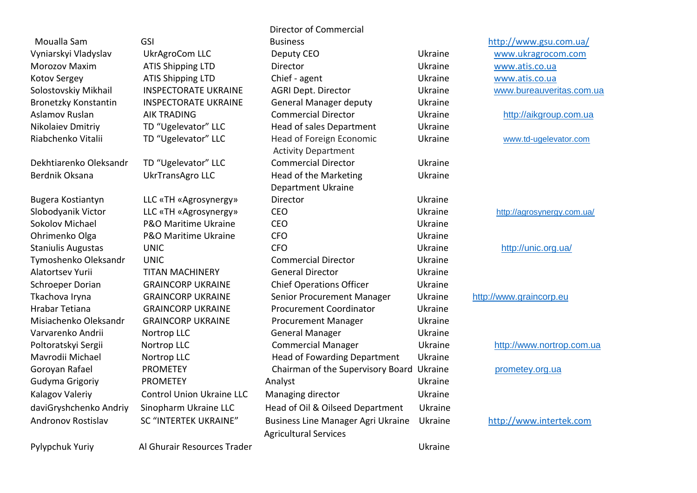Moualla Sam GSI Director of Commercial Business <http://www.gsu.com.ua/> Vyniarskyi Vladyslav UkrAgroCom LLC Deputy CEO Ukraine [www.ukragrocom.com](http://www.ukragrocom.com/)  Morozov Maxim **ATIS Shipping LTD** Director **Director** Ukraine [www.atis.co.ua](http://www.atis.co.ua/) Kotov Sergey ATIS Shipping LTD Chief - agent Ukraine [www.atis.co.ua](http://www.atis.co.ua/) Solostovskiy Mikhail INSPECTORATE UKRAINE AGRI Dept. Director Curraine Ukraine www.bureauveritas.com.ua Bronetzky Konstantin INSPECTORATE UKRAINE General Manager deputy Ukraine Aslamov Ruslan AIK TRADING Commercial Director Ukraine [http://aikgroup.com.ua](http://aikgroup.com.ua/) Nikolaiev Dmitriy TD "Ugelevator" LLC Head of sales Department Ukraine Riabchenko Vitalii TD "Ugelevator" LLC Head of Foreign Economic Ukraine [www.td-ugelevator.com](file:///D:/GU/www.td-ugelevator.com) Activity Department Dekhtiarenko Oleksandr TD "Ugelevator" LLC Commercial Director Ukraine Berdnik Oksana **UkrTransAgro LLC** Head of the Marketing Ukraine Department Ukraine Bugera Kostiantyn LLC «TH «Agrosynergy» Director Ukraine Slobodyanik Victor LLC «TH «Agrosynergy» CEO Ukraine Ukraine <http://agrosynergy.com.ua/> Sokolov Michael P&O Maritime Ukraine CEO Ukraine Ohrimenko Olga P&O Maritime Ukraine CFO CFO Ukraine Staniulis Augustas UNIC CFO CONVINCED Ukraine <http://unic.org.ua/> Tymoshenko Oleksandr UNIC Commercial Director Ukraine Alatortsev Yurii TITAN MACHINERY General Director Ukraine Schroeper Dorian GRAINCORP UKRAINE Chief Operations Officer Ukraine Tkachova Iryna GRAINCORP UKRAINE Senior Procurement Manager Ukraine [http://www.graincorp.eu](http://www.graincorp.eu/) Hrabar Tetiana GRAINCORP UKRAINE Procurement Coordinator Ukraine Misiachenko Oleksandr GRAINCORP UKRAINE Procurement Manager Ukraine Varvarenko Andrii Nortrop LLC General Manager Ukraine Poltoratskyi Sergii Nortrop LLC Commercial Manager Ukraine http://www.nortrop.com.ua Mavrodii Michael Nortrop LLC Head of Fowarding Department Ukraine Goroyan Rafael **PROMETEY** PROMETEY Chairman of the Supervisory Board Ukraine [prometey.org.ua](http://prometey.org.ua/) Gudyma Grigoriy **PROMETEY** Analyst **Analyst** PROMETEY **Analyst** PROMETEY Kalagov Valeriy **Control Union Ukraine LLC** Managing director Managing Ukraine daviGryshchenko Andriy Sinopharm Ukraine LLC Head of Oil & Oilseed Department Ukraine Andronov Rostislav SC "INTERTEK UKRAINE" Business Line Manager Agri Ukraine Ukraine [http://www.intertek.com](http://www.intertek.com/) Agricultural Services

Pylypchuk Yuriy Al Ghurair Resources Trader Ukraine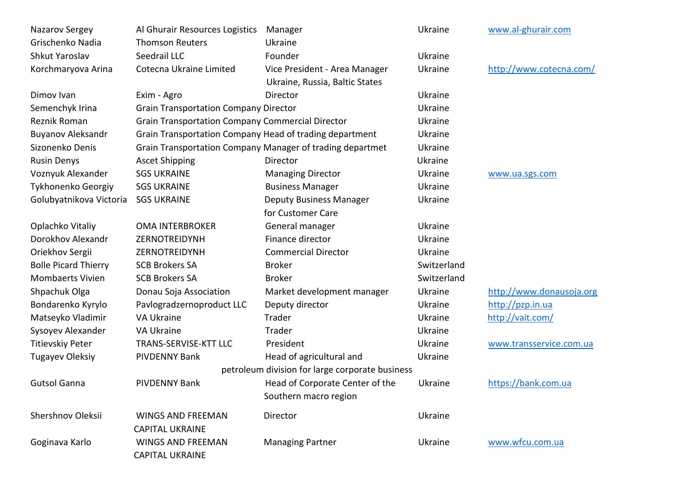| Nazarov Sergey              | Al Ghurair Resources Logistics                          | Manager                                                   | Ukraine     | www.al-ghurair.com       |
|-----------------------------|---------------------------------------------------------|-----------------------------------------------------------|-------------|--------------------------|
| Grischenko Nadia            | <b>Thomson Reuters</b>                                  | Ukraine                                                   |             |                          |
| Shkut Yaroslav              | Seedrail LLC                                            | Founder                                                   | Ukraine     |                          |
| Korchmaryova Arina          | Cotecna Ukraine Limited                                 | Vice President - Area Manager                             | Ukraine     | http://www.cotecna.com/  |
|                             |                                                         | Ukraine, Russia, Baltic States                            |             |                          |
| Dimov Ivan                  | Exim - Agro                                             | Director                                                  | Ukraine     |                          |
| Semenchyk Irina             | <b>Grain Transportation Company Director</b>            |                                                           | Ukraine     |                          |
| Reznik Roman                | <b>Grain Transportation Company Commercial Director</b> |                                                           | Ukraine     |                          |
| <b>Buyanov Aleksandr</b>    | Grain Transportation Company Head of trading department |                                                           | Ukraine     |                          |
| Sizonenko Denis             |                                                         | Grain Transportation Company Manager of trading departmet | Ukraine     |                          |
| <b>Rusin Denys</b>          | <b>Ascet Shipping</b>                                   | Director                                                  | Ukraine     |                          |
| Voznyuk Alexander           | <b>SGS UKRAINE</b>                                      | <b>Managing Director</b>                                  | Ukraine     | www.ua.sgs.com           |
| Tykhonenko Georgiy          | <b>SGS UKRAINE</b>                                      | <b>Business Manager</b>                                   | Ukraine     |                          |
| Golubyatnikova Victoria     | <b>SGS UKRAINE</b>                                      | <b>Deputy Business Manager</b>                            | Ukraine     |                          |
|                             |                                                         | for Customer Care                                         |             |                          |
| Oplachko Vitaliy            | <b>OMA INTERBROKER</b>                                  | General manager                                           | Ukraine     |                          |
| Dorokhov Alexandr           | ZERNOTREIDYNH                                           | Finance director                                          | Ukraine     |                          |
| Oriekhov Sergii             | ZERNOTREIDYNH                                           | <b>Commercial Director</b>                                | Ukraine     |                          |
| <b>Bolle Picard Thierry</b> | <b>SCB Brokers SA</b>                                   | <b>Broker</b>                                             | Switzerland |                          |
| <b>Mombaerts Vivien</b>     | <b>SCB Brokers SA</b>                                   | <b>Broker</b>                                             | Switzerland |                          |
| Shpachuk Olga               | Donau Soja Association                                  | Market development manager                                | Ukraine     | http://www.donausoja.org |
| Bondarenko Kyrylo           | Pavlogradzernoproduct LLC                               | Deputy director                                           | Ukraine     | http://pzp.in.ua         |
| Matseyko Vladimir           | <b>VA Ukraine</b>                                       | Trader                                                    | Ukraine     | http://vait.com/         |
| Sysoyev Alexander           | VA Ukraine                                              | Trader                                                    | Ukraine     |                          |
| <b>Titievskiy Peter</b>     | <b>TRANS-SERVISE-KTT LLC</b>                            | President                                                 | Ukraine     | www.transservice.com.ua  |
| <b>Tugayev Oleksiy</b>      | <b>PIVDENNY Bank</b>                                    | Head of agricultural and                                  | Ukraine     |                          |
|                             |                                                         | petroleum division for large corporate business           |             |                          |
| <b>Gutsol Ganna</b>         | <b>PIVDENNY Bank</b>                                    | Head of Corporate Center of the                           | Ukraine     | https://bank.com.ua      |
|                             |                                                         | Southern macro region                                     |             |                          |
| Shershnov Oleksii           | <b>WINGS AND FREEMAN</b>                                | Director                                                  | Ukraine     |                          |
|                             | <b>CAPITAL UKRAINE</b>                                  |                                                           |             |                          |
| Goginava Karlo              | <b>WINGS AND FREEMAN</b>                                | <b>Managing Partner</b>                                   | Ukraine     | www.wfcu.com.ua          |
|                             | <b>CAPITAL UKRAINE</b>                                  |                                                           |             |                          |
|                             |                                                         |                                                           |             |                          |